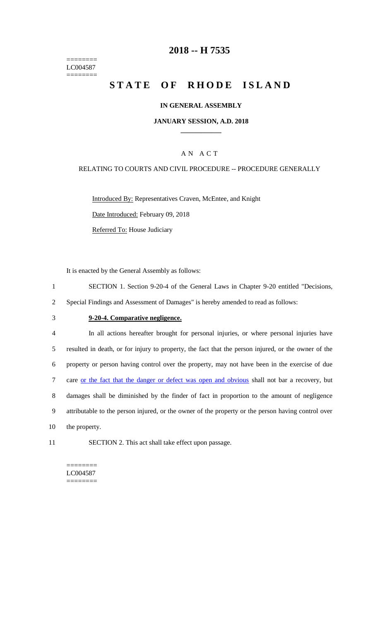======== LC004587 ========

## **2018 -- H 7535**

# **STATE OF RHODE ISLAND**

### **IN GENERAL ASSEMBLY**

#### **JANUARY SESSION, A.D. 2018 \_\_\_\_\_\_\_\_\_\_\_\_**

### A N A C T

#### RELATING TO COURTS AND CIVIL PROCEDURE -- PROCEDURE GENERALLY

Introduced By: Representatives Craven, McEntee, and Knight Date Introduced: February 09, 2018

Referred To: House Judiciary

It is enacted by the General Assembly as follows:

1 SECTION 1. Section 9-20-4 of the General Laws in Chapter 9-20 entitled "Decisions,

2 Special Findings and Assessment of Damages" is hereby amended to read as follows:

#### 3 **9-20-4. Comparative negligence.**

 In all actions hereafter brought for personal injuries, or where personal injuries have resulted in death, or for injury to property, the fact that the person injured, or the owner of the property or person having control over the property, may not have been in the exercise of due 7 care or the fact that the danger or defect was open and obvious shall not bar a recovery, but damages shall be diminished by the finder of fact in proportion to the amount of negligence attributable to the person injured, or the owner of the property or the person having control over the property.

11 SECTION 2. This act shall take effect upon passage.

======== LC004587  $=$